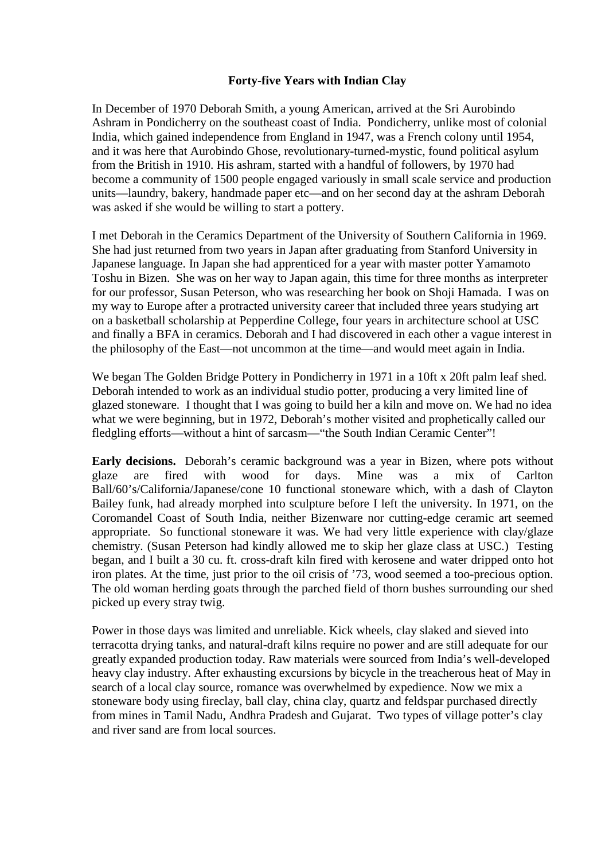## **Forty-five Years with Indian Clay**

In December of 1970 Deborah Smith, a young American, arrived at the Sri Aurobindo Ashram in Pondicherry on the southeast coast of India. Pondicherry, unlike most of colonial India, which gained independence from England in 1947, was a French colony until 1954, and it was here that Aurobindo Ghose, revolutionary-turned-mystic, found political asylum from the British in 1910. His ashram, started with a handful of followers, by 1970 had become a community of 1500 people engaged variously in small scale service and production units—laundry, bakery, handmade paper etc—and on her second day at the ashram Deborah was asked if she would be willing to start a pottery.

I met Deborah in the Ceramics Department of the University of Southern California in 1969. She had just returned from two years in Japan after graduating from Stanford University in Japanese language. In Japan she had apprenticed for a year with master potter Yamamoto Toshu in Bizen. She was on her way to Japan again, this time for three months as interpreter for our professor, Susan Peterson, who was researching her book on Shoji Hamada. I was on my way to Europe after a protracted university career that included three years studying art on a basketball scholarship at Pepperdine College, four years in architecture school at USC and finally a BFA in ceramics. Deborah and I had discovered in each other a vague interest in the philosophy of the East—not uncommon at the time—and would meet again in India.

We began The Golden Bridge Pottery in Pondicherry in 1971 in a 10ft x 20ft palm leaf shed. Deborah intended to work as an individual studio potter, producing a very limited line of glazed stoneware. I thought that I was going to build her a kiln and move on. We had no idea what we were beginning, but in 1972, Deborah's mother visited and prophetically called our fledgling efforts—without a hint of sarcasm—"the South Indian Ceramic Center"!

**Early decisions.** Deborah's ceramic background was a year in Bizen, where pots without glaze are fired with wood for days. Mine was a mix of Carlton Ball/60's/California/Japanese/cone 10 functional stoneware which, with a dash of Clayton Bailey funk, had already morphed into sculpture before I left the university. In 1971, on the Coromandel Coast of South India, neither Bizenware nor cutting-edge ceramic art seemed appropriate. So functional stoneware it was. We had very little experience with clay/glaze chemistry. (Susan Peterson had kindly allowed me to skip her glaze class at USC.) Testing began, and I built a 30 cu. ft. cross-draft kiln fired with kerosene and water dripped onto hot iron plates. At the time, just prior to the oil crisis of '73, wood seemed a too-precious option. The old woman herding goats through the parched field of thorn bushes surrounding our shed picked up every stray twig.

Power in those days was limited and unreliable. Kick wheels, clay slaked and sieved into terracotta drying tanks, and natural-draft kilns require no power and are still adequate for our greatly expanded production today. Raw materials were sourced from India's well-developed heavy clay industry. After exhausting excursions by bicycle in the treacherous heat of May in search of a local clay source, romance was overwhelmed by expedience. Now we mix a stoneware body using fireclay, ball clay, china clay, quartz and feldspar purchased directly from mines in Tamil Nadu, Andhra Pradesh and Gujarat. Two types of village potter's clay and river sand are from local sources.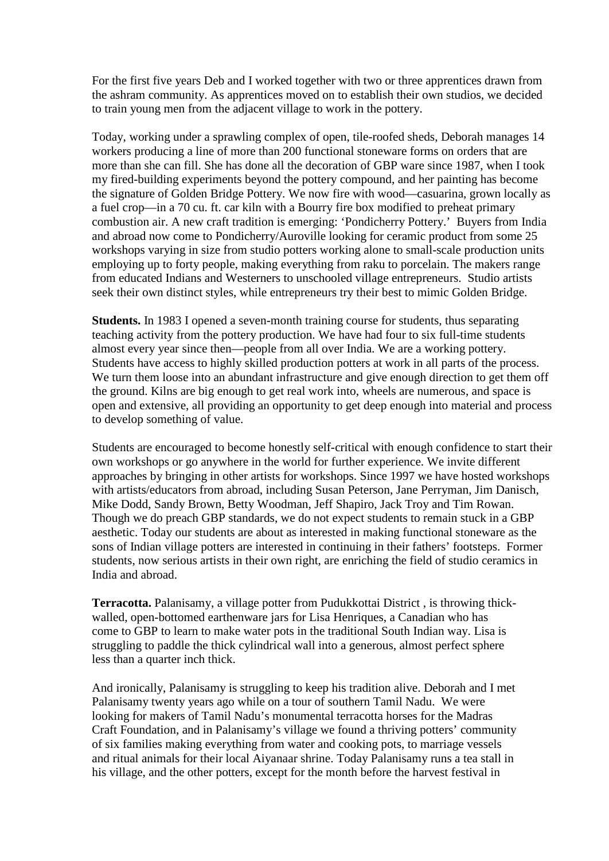For the first five years Deb and I worked together with two or three apprentices drawn from the ashram community. As apprentices moved on to establish their own studios, we decided to train young men from the adjacent village to work in the pottery.

Today, working under a sprawling complex of open, tile-roofed sheds, Deborah manages 14 workers producing a line of more than 200 functional stoneware forms on orders that are more than she can fill. She has done all the decoration of GBP ware since 1987, when I took my fired-building experiments beyond the pottery compound, and her painting has become the signature of Golden Bridge Pottery. We now fire with wood—casuarina, grown locally as a fuel crop—in a 70 cu. ft. car kiln with a Bourry fire box modified to preheat primary combustion air. A new craft tradition is emerging: 'Pondicherry Pottery.' Buyers from India and abroad now come to Pondicherry/Auroville looking for ceramic product from some 25 workshops varying in size from studio potters working alone to small-scale production units employing up to forty people, making everything from raku to porcelain. The makers range from educated Indians and Westerners to unschooled village entrepreneurs. Studio artists seek their own distinct styles, while entrepreneurs try their best to mimic Golden Bridge.

**Students.** In 1983 I opened a seven-month training course for students, thus separating teaching activity from the pottery production. We have had four to six full-time students almost every year since then—people from all over India. We are a working pottery. Students have access to highly skilled production potters at work in all parts of the process. We turn them loose into an abundant infrastructure and give enough direction to get them off the ground. Kilns are big enough to get real work into, wheels are numerous, and space is open and extensive, all providing an opportunity to get deep enough into material and process to develop something of value.

Students are encouraged to become honestly self-critical with enough confidence to start their own workshops or go anywhere in the world for further experience. We invite different approaches by bringing in other artists for workshops. Since 1997 we have hosted workshops with artists/educators from abroad, including Susan Peterson, Jane Perryman, Jim Danisch, Mike Dodd, Sandy Brown, Betty Woodman, Jeff Shapiro, Jack Troy and Tim Rowan. Though we do preach GBP standards, we do not expect students to remain stuck in a GBP aesthetic. Today our students are about as interested in making functional stoneware as the sons of Indian village potters are interested in continuing in their fathers' footsteps. Former students, now serious artists in their own right, are enriching the field of studio ceramics in India and abroad.

**Terracotta.** Palanisamy, a village potter from Pudukkottai District , is throwing thickwalled, open-bottomed earthenware jars for Lisa Henriques, a Canadian who has come to GBP to learn to make water pots in the traditional South Indian way. Lisa is struggling to paddle the thick cylindrical wall into a generous, almost perfect sphere less than a quarter inch thick.

And ironically, Palanisamy is struggling to keep his tradition alive. Deborah and I met Palanisamy twenty years ago while on a tour of southern Tamil Nadu. We were looking for makers of Tamil Nadu's monumental terracotta horses for the Madras Craft Foundation, and in Palanisamy's village we found a thriving potters' community of six families making everything from water and cooking pots, to marriage vessels and ritual animals for their local Aiyanaar shrine. Today Palanisamy runs a tea stall in his village, and the other potters, except for the month before the harvest festival in